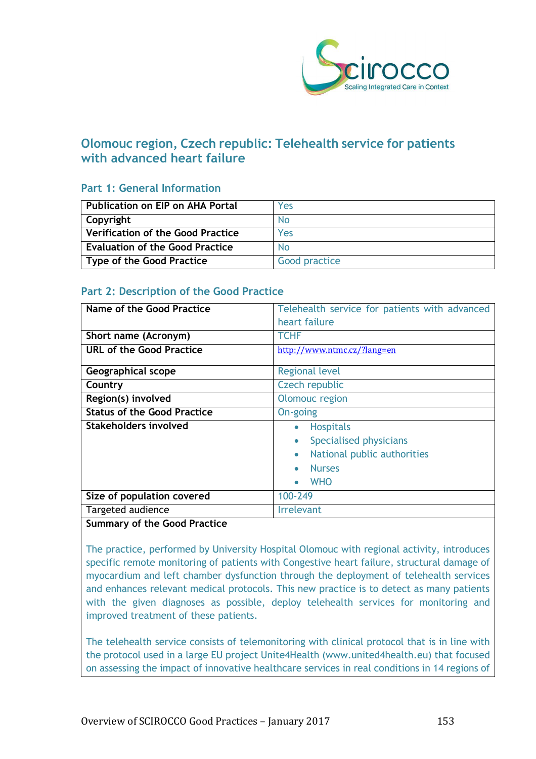

# **Olomouc region, Czech republic: Telehealth service for patients with advanced heart failure**

# **Part 1: General Information**

| l Publication on EIP on AHA Portal       | Yes           |
|------------------------------------------|---------------|
| Copyright                                | No            |
| $\mid$ Verification of the Good Practice | Yes           |
| <b>Evaluation of the Good Practice</b>   | No            |
| Type of the Good Practice                | Good practice |

# **Part 2: Description of the Good Practice**

| Name of the Good Practice               | Telehealth service for patients with advanced<br>heart failure |
|-----------------------------------------|----------------------------------------------------------------|
|                                         |                                                                |
| Short name (Acronym)                    | <b>TCHF</b>                                                    |
| <b>URL of the Good Practice</b>         | http://www.ntmc.cz/?lang=en                                    |
| Geographical scope                      | <b>Regional level</b>                                          |
| Country                                 | Czech republic                                                 |
| Region(s) involved                      | Olomouc region                                                 |
| <b>Status of the Good Practice</b>      | On-going                                                       |
| <b>Stakeholders involved</b>            | <b>Hospitals</b><br>$\bullet$                                  |
|                                         | Specialised physicians                                         |
|                                         | National public authorities<br>$\bullet$                       |
|                                         | <b>Nurses</b>                                                  |
|                                         | <b>WHO</b>                                                     |
| Size of population covered              | 100-249                                                        |
| Targeted audience                       | <b>Irrelevant</b>                                              |
| $\overline{\phantom{a}}$<br>$\sim$<br>. |                                                                |

#### **Summary of the Good Practice**

The practice, performed by University Hospital Olomouc with regional activity, introduces specific remote monitoring of patients with Congestive heart failure, structural damage of myocardium and left chamber dysfunction through the deployment of telehealth services and enhances relevant medical protocols. This new practice is to detect as many patients with the given diagnoses as possible, deploy telehealth services for monitoring and improved treatment of these patients.

The telehealth service consists of telemonitoring with clinical protocol that is in line with the protocol used in a large EU project Unite4Health (www.united4health.eu) that focused on assessing the impact of innovative healthcare services in real conditions in 14 regions of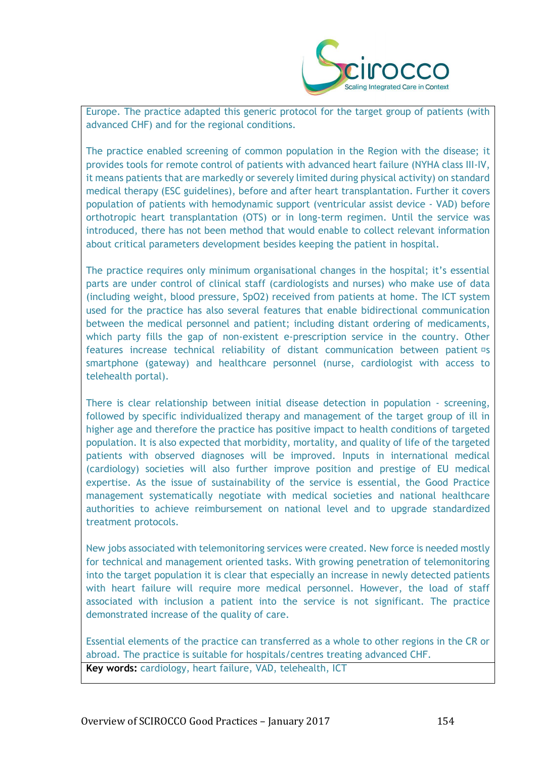

Europe. The practice adapted this generic protocol for the target group of patients (with advanced CHF) and for the regional conditions.

The practice enabled screening of common population in the Region with the disease; it provides tools for remote control of patients with advanced heart failure (NYHA class III-IV, it means patients that are markedly or severely limited during physical activity) on standard medical therapy (ESC guidelines), before and after heart transplantation. Further it covers population of patients with hemodynamic support (ventricular assist device - VAD) before orthotropic heart transplantation (OTS) or in long-term regimen. Until the service was introduced, there has not been method that would enable to collect relevant information about critical parameters development besides keeping the patient in hospital.

The practice requires only minimum organisational changes in the hospital; it's essential parts are under control of clinical staff (cardiologists and nurses) who make use of data (including weight, blood pressure, SpO2) received from patients at home. The ICT system used for the practice has also several features that enable bidirectional communication between the medical personnel and patient; including distant ordering of medicaments, which party fills the gap of non-existent e-prescription service in the country. Other features increase technical reliability of distant communication between patient <sup>D</sup>s smartphone (gateway) and healthcare personnel (nurse, cardiologist with access to telehealth portal).

There is clear relationship between initial disease detection in population - screening, followed by specific individualized therapy and management of the target group of ill in higher age and therefore the practice has positive impact to health conditions of targeted population. It is also expected that morbidity, mortality, and quality of life of the targeted patients with observed diagnoses will be improved. Inputs in international medical (cardiology) societies will also further improve position and prestige of EU medical expertise. As the issue of sustainability of the service is essential, the Good Practice management systematically negotiate with medical societies and national healthcare authorities to achieve reimbursement on national level and to upgrade standardized treatment protocols.

New jobs associated with telemonitoring services were created. New force is needed mostly for technical and management oriented tasks. With growing penetration of telemonitoring into the target population it is clear that especially an increase in newly detected patients with heart failure will require more medical personnel. However, the load of staff associated with inclusion a patient into the service is not significant. The practice demonstrated increase of the quality of care.

Essential elements of the practice can transferred as a whole to other regions in the CR or abroad. The practice is suitable for hospitals/centres treating advanced CHF. **Key words:** cardiology, heart failure, VAD, telehealth, ICT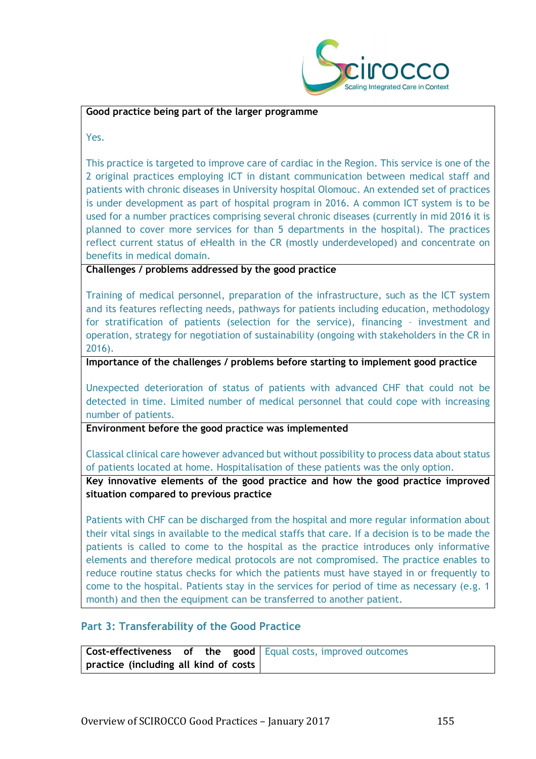

#### **Good practice being part of the larger programme**

Yes.

This practice is targeted to improve care of cardiac in the Region. This service is one of the 2 original practices employing ICT in distant communication between medical staff and patients with chronic diseases in University hospital Olomouc. An extended set of practices is under development as part of hospital program in 2016. A common ICT system is to be used for a number practices comprising several chronic diseases (currently in mid 2016 it is planned to cover more services for than 5 departments in the hospital). The practices reflect current status of eHealth in the CR (mostly underdeveloped) and concentrate on benefits in medical domain.

**Challenges / problems addressed by the good practice**

Training of medical personnel, preparation of the infrastructure, such as the ICT system and its features reflecting needs, pathways for patients including education, methodology for stratification of patients (selection for the service), financing – investment and operation, strategy for negotiation of sustainability (ongoing with stakeholders in the CR in 2016).

**Importance of the challenges / problems before starting to implement good practice**

Unexpected deterioration of status of patients with advanced CHF that could not be detected in time. Limited number of medical personnel that could cope with increasing number of patients.

**Environment before the good practice was implemented** 

Classical clinical care however advanced but without possibility to process data about status of patients located at home. Hospitalisation of these patients was the only option.

**Key innovative elements of the good practice and how the good practice improved situation compared to previous practice**

Patients with CHF can be discharged from the hospital and more regular information about their vital sings in available to the medical staffs that care. If a decision is to be made the patients is called to come to the hospital as the practice introduces only informative elements and therefore medical protocols are not compromised. The practice enables to reduce routine status checks for which the patients must have stayed in or frequently to come to the hospital. Patients stay in the services for period of time as necessary (e.g. 1 month) and then the equipment can be transferred to another patient.

### **Part 3: Transferability of the Good Practice**

|                                       |  | <b>Cost-effectiveness of the good</b> Equal costs, improved outcomes |
|---------------------------------------|--|----------------------------------------------------------------------|
| practice (including all kind of costs |  |                                                                      |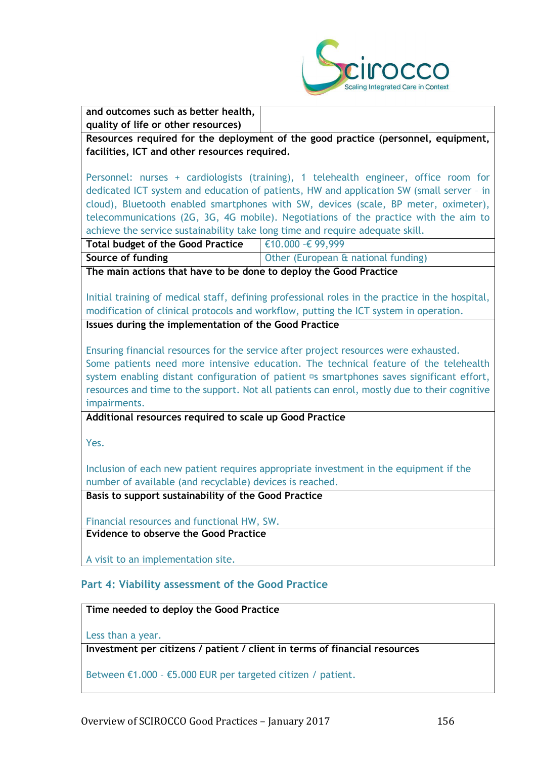

| and outcomes such as better health,<br>quality of life or other resources)            |                                                                                                       |  |
|---------------------------------------------------------------------------------------|-------------------------------------------------------------------------------------------------------|--|
|                                                                                       | Resources required for the deployment of the good practice (personnel, equipment,                     |  |
| facilities, ICT and other resources required.                                         |                                                                                                       |  |
|                                                                                       |                                                                                                       |  |
|                                                                                       | Personnel: nurses + cardiologists (training), 1 telehealth engineer, office room for                  |  |
|                                                                                       | dedicated ICT system and education of patients, HW and application SW (small server - in              |  |
|                                                                                       | cloud), Bluetooth enabled smartphones with SW, devices (scale, BP meter, oximeter),                   |  |
|                                                                                       | telecommunications (2G, 3G, 4G mobile). Negotiations of the practice with the aim to                  |  |
| achieve the service sustainability take long time and require adequate skill.         |                                                                                                       |  |
| <b>Total budget of the Good Practice</b>                                              | €10.000 -€ 99,999                                                                                     |  |
| Source of funding                                                                     | Other (European & national funding)                                                                   |  |
| The main actions that have to be done to deploy the Good Practice                     |                                                                                                       |  |
|                                                                                       | Initial training of medical staff, defining professional roles in the practice in the hospital,       |  |
|                                                                                       | modification of clinical protocols and workflow, putting the ICT system in operation.                 |  |
| Issues during the implementation of the Good Practice                                 |                                                                                                       |  |
|                                                                                       |                                                                                                       |  |
|                                                                                       | Ensuring financial resources for the service after project resources were exhausted.                  |  |
|                                                                                       | Some patients need more intensive education. The technical feature of the telehealth                  |  |
|                                                                                       | system enabling distant configuration of patient <sup>1</sup> s smartphones saves significant effort, |  |
|                                                                                       | resources and time to the support. Not all patients can enrol, mostly due to their cognitive          |  |
| impairments.                                                                          |                                                                                                       |  |
| Additional resources required to scale up Good Practice                               |                                                                                                       |  |
|                                                                                       |                                                                                                       |  |
| Yes.                                                                                  |                                                                                                       |  |
|                                                                                       |                                                                                                       |  |
| Inclusion of each new patient requires appropriate investment in the equipment if the |                                                                                                       |  |
| number of available (and recyclable) devices is reached.                              |                                                                                                       |  |
| Basis to support sustainability of the Good Practice                                  |                                                                                                       |  |
| Financial resources and functional HW, SW.                                            |                                                                                                       |  |
| Evidence to observe the Good Practice                                                 |                                                                                                       |  |
|                                                                                       |                                                                                                       |  |
| A visit to an implementation site.                                                    |                                                                                                       |  |
|                                                                                       |                                                                                                       |  |
|                                                                                       |                                                                                                       |  |

**Time needed to deploy the Good Practice**

Less than a year.

**Investment per citizens / patient / client in terms of financial resources**

Between €1.000 – €5.000 EUR per targeted citizen / patient.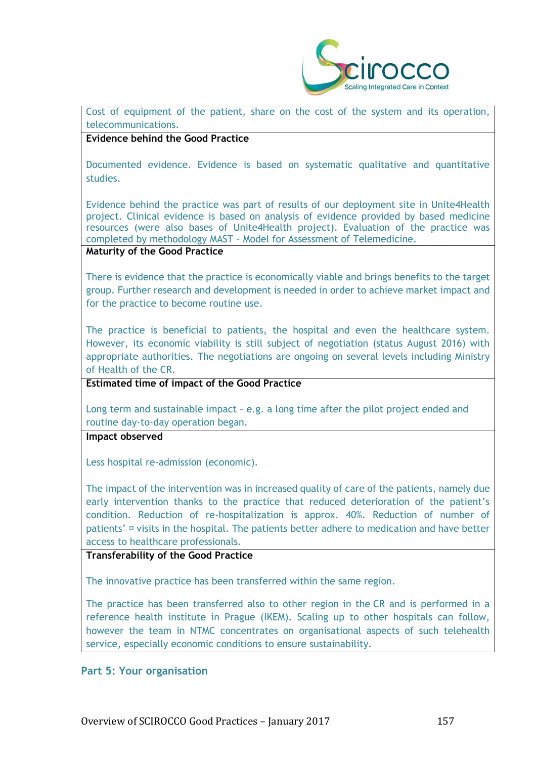

Cost of equipment of the patient, share on the cost of the system and its operation, telecommunications.

#### **Evidence behind the Good Practice**

Documented evidence. Evidence is based on systematic qualitative and quantitative studies.

Evidence behind the practice was part of results of our deployment site in Unite4Health project. Clinical evidence is based on analysis of evidence provided by based medicine resources (were also bases of Unite4Health project). Evaluation of the practice was completed by methodology MAST – Model for Assessment of Telemedicine.

## **Maturity of the Good Practice**

There is evidence that the practice is economically viable and brings benefits to the target group. Further research and development is needed in order to achieve market impact and for the practice to become routine use.

The practice is beneficial to patients, the hospital and even the healthcare system. However, its economic viability is still subject of negotiation (status August 2016) with appropriate authorities. The negotiations are ongoing on several levels including Ministry of Health of the CR.

### **Estimated time of impact of the Good Practice**

Long term and sustainable impact – e.g. a long time after the pilot project ended and routine day-to-day operation began.

#### **Impact observed**

Less hospital re-admission (economic).

The impact of the intervention was in increased quality of care of the patients, namely due early intervention thanks to the practice that reduced deterioration of the patient's condition. Reduction of re-hospitalization is approx. 40%. Reduction of number of patients'  $\Phi$  visits in the hospital. The patients better adhere to medication and have better access to healthcare professionals.

#### **Transferability of the Good Practice**

The innovative practice has been transferred within the same region.

The practice has been transferred also to other region in the CR and is performed in a reference health institute in Prague (IKEM). Scaling up to other hospitals can follow, however the team in NTMC concentrates on organisational aspects of such telehealth service, especially economic conditions to ensure sustainability.

#### **Part 5: Your organisation**